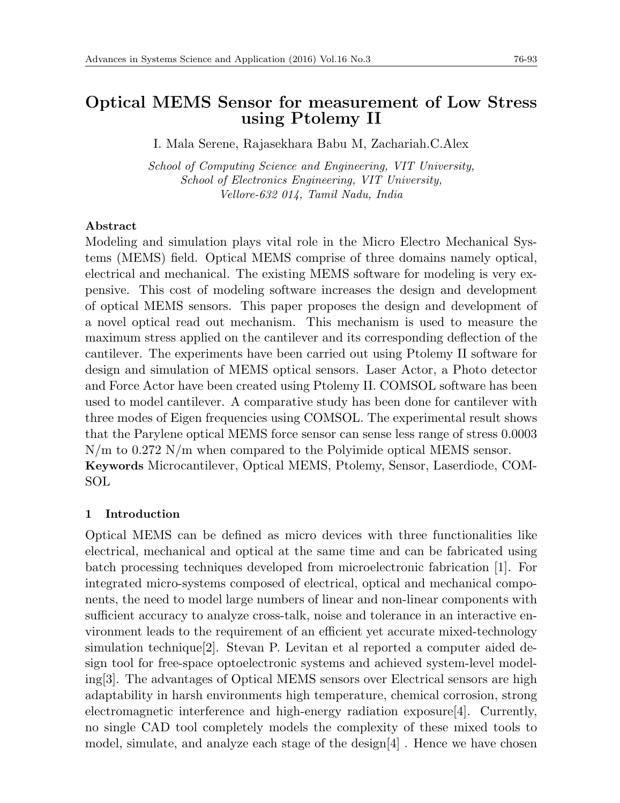# **Optical MEMS Sensor for measurement of Low Stress using Ptolemy II**

I. Mala Serene, Rajasekhara Babu M, Zachariah.C.Alex

*School of Computing Science and Engineering, VIT University, School of Electronics Engineering, VIT University, Vellore-632 014, Tamil Nadu, India*

### **Abstract**

Modeling and simulation plays vital role in the Micro Electro Mechanical Systems (MEMS) field. Optical MEMS comprise of three domains namely optical, electrical and mechanical. The existing MEMS software for modeling is very expensive. This cost of modeling software increases the design and development of optical MEMS sensors. This paper proposes the design and development of a novel optical read out mechanism. This mechanism is used to measure the maximum stress applied on the cantilever and its corresponding deflection of the cantilever. The experiments have been carried out using Ptolemy II software for design and simulation of MEMS optical sensors. Laser Actor, a Photo detector and Force Actor have been created using Ptolemy II. COMSOL software has been used to model cantilever. A comparative study has been done for cantilever with three modes of Eigen frequencies using COMSOL. The experimental result shows that the Parylene optical MEMS force sensor can sense less range of stress 0.0003 N/m to 0.272 N/m when compared to the Polyimide optical MEMS sensor. **Keywords** Microcantilever, Optical MEMS, Ptolemy, Sensor, Laserdiode, COM-SOL

### **1 Introduction**

Optical MEMS can be defined as micro devices with three functionalities like electrical, mechanical and optical at the same time and can be fabricated using batch processing techniques developed from microelectronic fabrication [1]. For integrated micro-systems composed of electrical, optical and mechanical components, the need to model large numbers of linear and non-linear components with sufficient accuracy to analyze cross-talk, noise and tolerance in an interactive environment leads to the requirement of an efficient yet accurate mixed-technology simulation technique[2]. Stevan P. Levitan et al reported a computer aided design tool for free-space optoelectronic systems and achieved system-level modeling[3]. The advantages of Optical MEMS sensors over Electrical sensors are high adaptability in harsh environments high temperature, chemical corrosion, strong electromagnetic interference and high-energy radiation exposure[4]. Currently, no single CAD tool completely models the complexity of these mixed tools to model, simulate, and analyze each stage of the design[4] . Hence we have chosen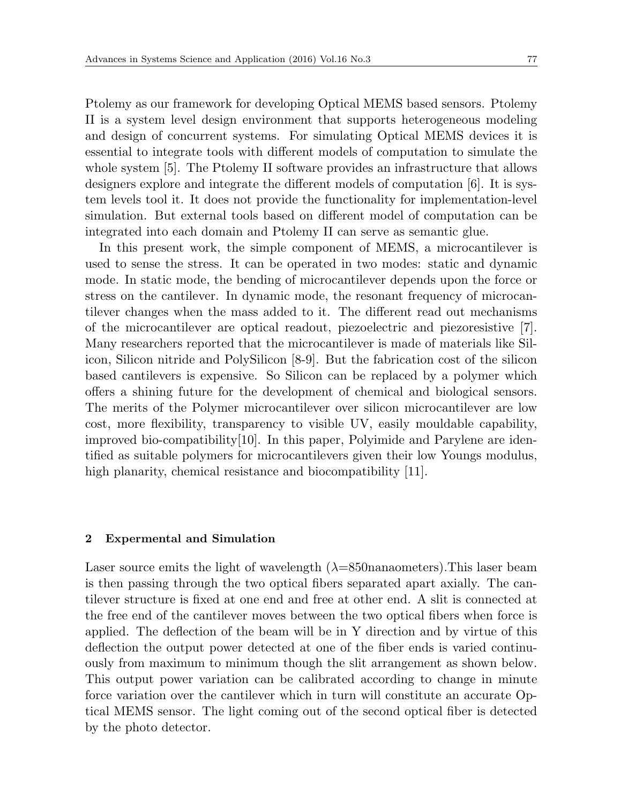Ptolemy as our framework for developing Optical MEMS based sensors. Ptolemy II is a system level design environment that supports heterogeneous modeling and design of concurrent systems. For simulating Optical MEMS devices it is essential to integrate tools with different models of computation to simulate the whole system [5]. The Ptolemy II software provides an infrastructure that allows designers explore and integrate the different models of computation [6]. It is system levels tool it. It does not provide the functionality for implementation-level simulation. But external tools based on different model of computation can be integrated into each domain and Ptolemy II can serve as semantic glue.

In this present work, the simple component of MEMS, a microcantilever is used to sense the stress. It can be operated in two modes: static and dynamic mode. In static mode, the bending of microcantilever depends upon the force or stress on the cantilever. In dynamic mode, the resonant frequency of microcantilever changes when the mass added to it. The different read out mechanisms of the microcantilever are optical readout, piezoelectric and piezoresistive [7]. Many researchers reported that the microcantilever is made of materials like Silicon, Silicon nitride and PolySilicon [8-9]. But the fabrication cost of the silicon based cantilevers is expensive. So Silicon can be replaced by a polymer which offers a shining future for the development of chemical and biological sensors. The merits of the Polymer microcantilever over silicon microcantilever are low cost, more flexibility, transparency to visible UV, easily mouldable capability, improved bio-compatibility[10]. In this paper, Polyimide and Parylene are identified as suitable polymers for microcantilevers given their low Youngs modulus, high planarity, chemical resistance and biocompatibility [11].

#### **2 Expermental and Simulation**

Laser source emits the light of wavelength  $(\lambda=850$ nanaometers). This laser beam is then passing through the two optical fibers separated apart axially. The cantilever structure is fixed at one end and free at other end. A slit is connected at the free end of the cantilever moves between the two optical fibers when force is applied. The deflection of the beam will be in Y direction and by virtue of this deflection the output power detected at one of the fiber ends is varied continuously from maximum to minimum though the slit arrangement as shown below. This output power variation can be calibrated according to change in minute force variation over the cantilever which in turn will constitute an accurate Optical MEMS sensor. The light coming out of the second optical fiber is detected by the photo detector.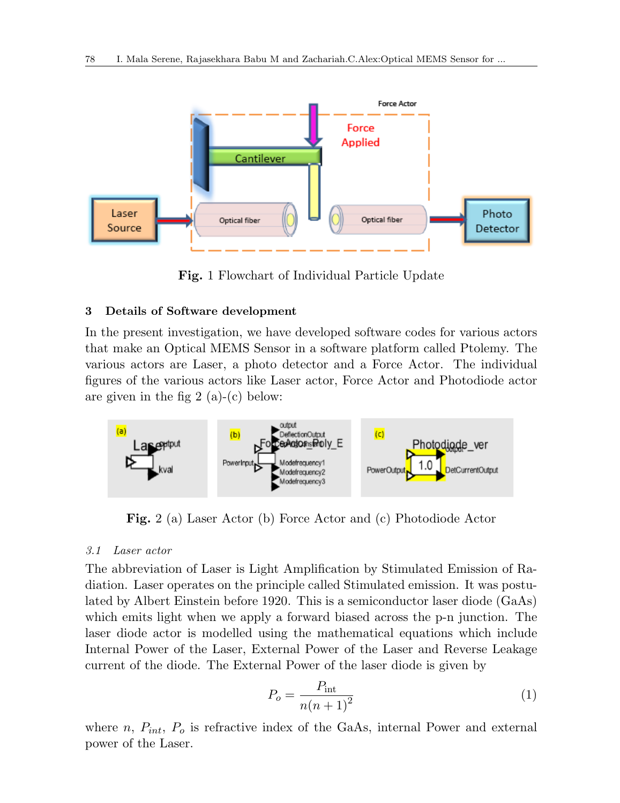

**Fig.** 1 Flowchart of Individual Particle Update

### **3 Details of Software development**

In the present investigation, we have developed software codes for various actors that make an Optical MEMS Sensor in a software platform called Ptolemy. The various actors are Laser, a photo detector and a Force Actor. The individual figures of the various actors like Laser actor, Force Actor and Photodiode actor are given in the fig 2 (a)-(c) below:



**Fig.** 2 (a) Laser Actor (b) Force Actor and (c) Photodiode Actor

#### *3.1 Laser actor*

The abbreviation of Laser is Light Amplification by Stimulated Emission of Radiation. Laser operates on the principle called Stimulated emission. It was postulated by Albert Einstein before 1920. This is a semiconductor laser diode (GaAs) which emits light when we apply a forward biased across the p-n junction. The laser diode actor is modelled using the mathematical equations which include Internal Power of the Laser, External Power of the Laser and Reverse Leakage current of the diode. The External Power of the laser diode is given by

$$
P_o = \frac{P_{\text{int}}}{n(n+1)^2} \tag{1}
$$

where  $n$ ,  $P_{int}$ ,  $P_o$  is refractive index of the GaAs, internal Power and external power of the Laser.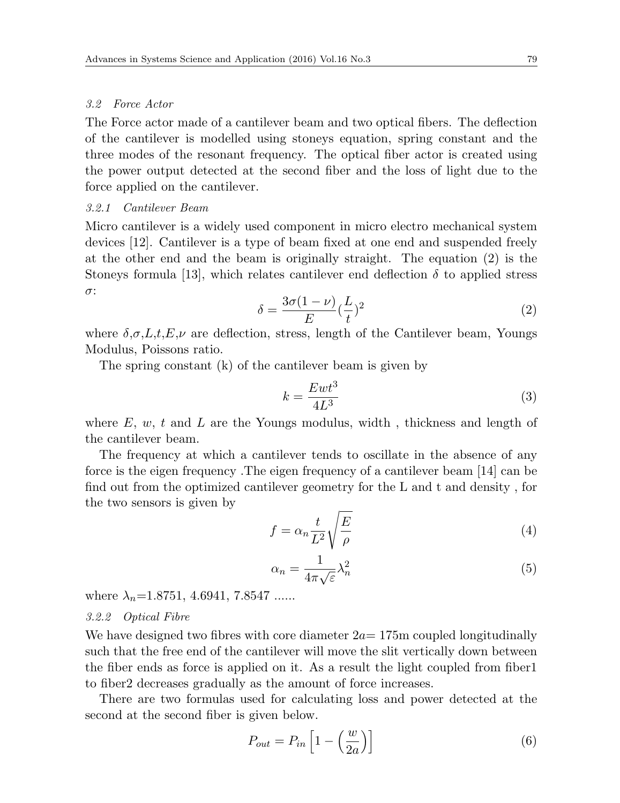#### *3.2 Force Actor*

The Force actor made of a cantilever beam and two optical fibers. The deflection of the cantilever is modelled using stoneys equation, spring constant and the three modes of the resonant frequency. The optical fiber actor is created using the power output detected at the second fiber and the loss of light due to the force applied on the cantilever.

#### *3.2.1 Cantilever Beam*

Micro cantilever is a widely used component in micro electro mechanical system devices [12]. Cantilever is a type of beam fixed at one end and suspended freely at the other end and the beam is originally straight. The equation (2) is the Stoneys formula [13], which relates cantilever end deflection  $\delta$  to applied stress *σ*:

$$
\delta = \frac{3\sigma(1-\nu)}{E}(\frac{L}{t})^2\tag{2}
$$

where  $\delta, \sigma, L, t, E, \nu$  are deflection, stress, length of the Cantilever beam, Youngs Modulus, Poissons ratio.

The spring constant (k) of the cantilever beam is given by

$$
k = \frac{Ewt^3}{4L^3} \tag{3}
$$

where *E*, *w*, *t* and *L* are the Youngs modulus, width , thickness and length of the cantilever beam.

The frequency at which a cantilever tends to oscillate in the absence of any force is the eigen frequency .The eigen frequency of a cantilever beam [14] can be find out from the optimized cantilever geometry for the L and t and density , for the two sensors is given by

$$
f = \alpha_n \frac{t}{L^2} \sqrt{\frac{E}{\rho}}
$$
 (4)

$$
\alpha_n = \frac{1}{4\pi\sqrt{\varepsilon}}\lambda_n^2\tag{5}
$$

where  $\lambda_n = 1.8751, 4.6941, 7.8547$  ......

#### *3.2.2 Optical Fibre*

We have designed two fibres with core diameter  $2a=175$ m coupled longitudinally such that the free end of the cantilever will move the slit vertically down between the fiber ends as force is applied on it. As a result the light coupled from fiber1 to fiber2 decreases gradually as the amount of force increases.

There are two formulas used for calculating loss and power detected at the second at the second fiber is given below.

$$
P_{out} = P_{in} \left[ 1 - \left(\frac{w}{2a}\right) \right] \tag{6}
$$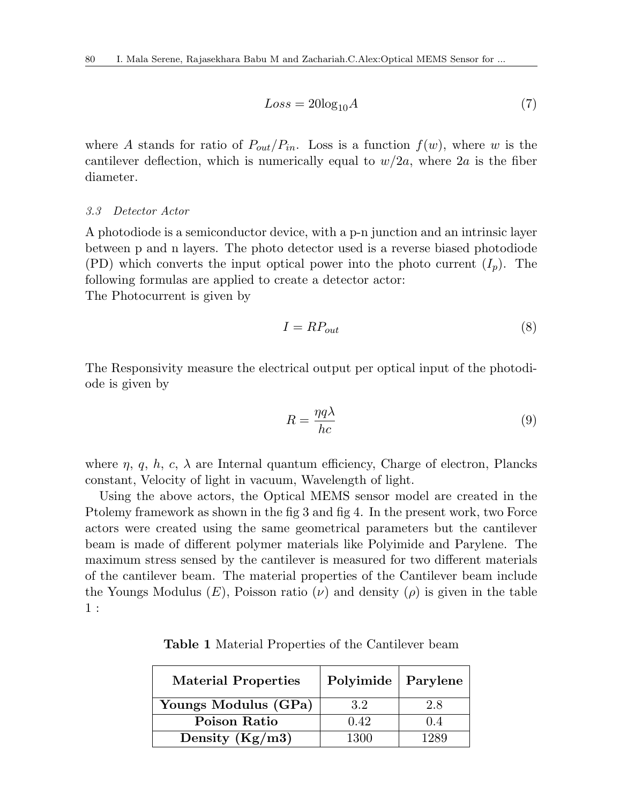$$
Loss = 20\log_{10} A \tag{7}
$$

where *A* stands for ratio of  $P_{out}/P_{in}$ . Loss is a function  $f(w)$ , where *w* is the cantilever deflection, which is numerically equal to  $w/2a$ , where  $2a$  is the fiber diameter.

### *3.3 Detector Actor*

A photodiode is a semiconductor device, with a p-n junction and an intrinsic layer between p and n layers. The photo detector used is a reverse biased photodiode (PD) which converts the input optical power into the photo current  $(I_n)$ . The following formulas are applied to create a detector actor: The Photocurrent is given by

$$
I = RP_{out} \tag{8}
$$

The Responsivity measure the electrical output per optical input of the photodiode is given by

$$
R = \frac{\eta q \lambda}{hc} \tag{9}
$$

where  $\eta$ ,  $\dot{q}$ ,  $h$ ,  $c$ ,  $\lambda$  are Internal quantum efficiency, Charge of electron, Plancks constant, Velocity of light in vacuum, Wavelength of light.

Using the above actors, the Optical MEMS sensor model are created in the Ptolemy framework as shown in the fig 3 and fig 4. In the present work, two Force actors were created using the same geometrical parameters but the cantilever beam is made of different polymer materials like Polyimide and Parylene. The maximum stress sensed by the cantilever is measured for two different materials of the cantilever beam. The material properties of the Cantilever beam include the Youngs Modulus  $(E)$ , Poisson ratio  $(\nu)$  and density  $(\rho)$  is given in the table 1 :

**Table 1** Material Properties of the Cantilever beam

| <b>Material Properties</b> | Polyimide   Parylene |      |
|----------------------------|----------------------|------|
| Youngs Modulus (GPa)       | 3.2                  | 2.8  |
| Poison Ratio               | 0.42                 | (14) |
| Density $(Kg/m3)$          | 1300                 | 1989 |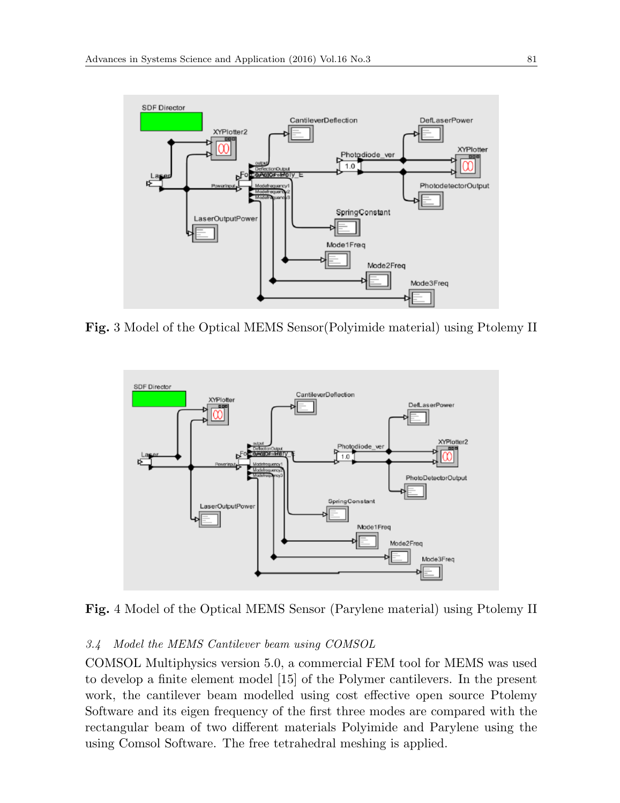

**Fig.** 3 Model of the Optical MEMS Sensor(Polyimide material) using Ptolemy II



**Fig.** 4 Model of the Optical MEMS Sensor (Parylene material) using Ptolemy II

### *3.4 Model the MEMS Cantilever beam using COMSOL*

COMSOL Multiphysics version 5.0, a commercial FEM tool for MEMS was used to develop a finite element model [15] of the Polymer cantilevers. In the present work, the cantilever beam modelled using cost effective open source Ptolemy Software and its eigen frequency of the first three modes are compared with the rectangular beam of two different materials Polyimide and Parylene using the using Comsol Software. The free tetrahedral meshing is applied.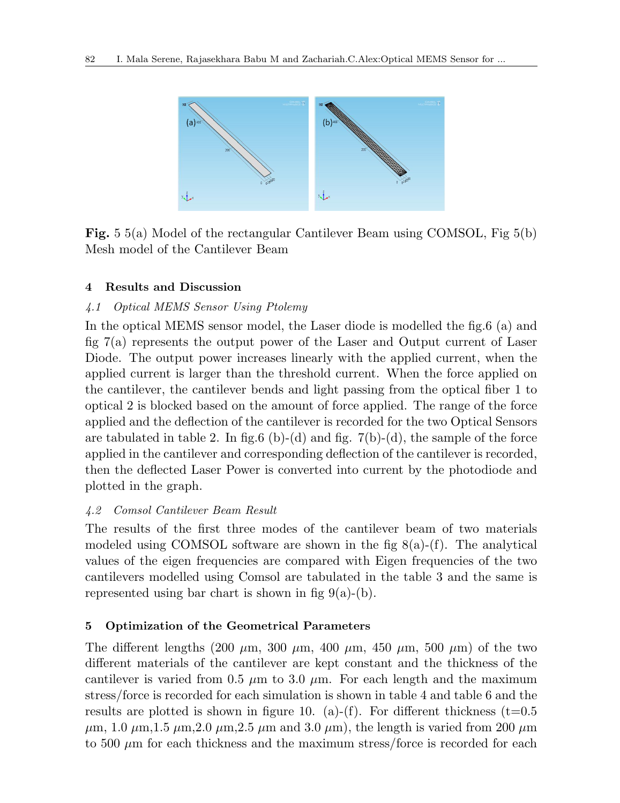

**Fig.** 5 5(a) Model of the rectangular Cantilever Beam using COMSOL, Fig 5(b) Mesh model of the Cantilever Beam

# **4 Results and Discussion**

# *4.1 Optical MEMS Sensor Using Ptolemy*

In the optical MEMS sensor model, the Laser diode is modelled the fig.6 (a) and fig 7(a) represents the output power of the Laser and Output current of Laser Diode. The output power increases linearly with the applied current, when the applied current is larger than the threshold current. When the force applied on the cantilever, the cantilever bends and light passing from the optical fiber 1 to optical 2 is blocked based on the amount of force applied. The range of the force applied and the deflection of the cantilever is recorded for the two Optical Sensors are tabulated in table 2. In fig.6 (b)-(d) and fig.  $7(b)-(d)$ , the sample of the force applied in the cantilever and corresponding deflection of the cantilever is recorded, then the deflected Laser Power is converted into current by the photodiode and plotted in the graph.

# *4.2 Comsol Cantilever Beam Result*

The results of the first three modes of the cantilever beam of two materials modeled using COMSOL software are shown in the fig  $8(a)-(f)$ . The analytical values of the eigen frequencies are compared with Eigen frequencies of the two cantilevers modelled using Comsol are tabulated in the table 3 and the same is represented using bar chart is shown in fig  $9(a)-(b)$ .

# **5 Optimization of the Geometrical Parameters**

The different lengths (200  $\mu$ m, 300  $\mu$ m, 400  $\mu$ m, 450  $\mu$ m, 500  $\mu$ m) of the two different materials of the cantilever are kept constant and the thickness of the cantilever is varied from 0.5  $\mu$ m to 3.0  $\mu$ m. For each length and the maximum stress/force is recorded for each simulation is shown in table 4 and table 6 and the results are plotted is shown in figure 10. (a)-(f). For different thickness (t=0.5  $\mu$ m, 1.0  $\mu$ m, 1.5  $\mu$ m, 2.0  $\mu$ m, 2.5  $\mu$ m and 3.0  $\mu$ m), the length is varied from 200  $\mu$ m to 500 *µ*m for each thickness and the maximum stress/force is recorded for each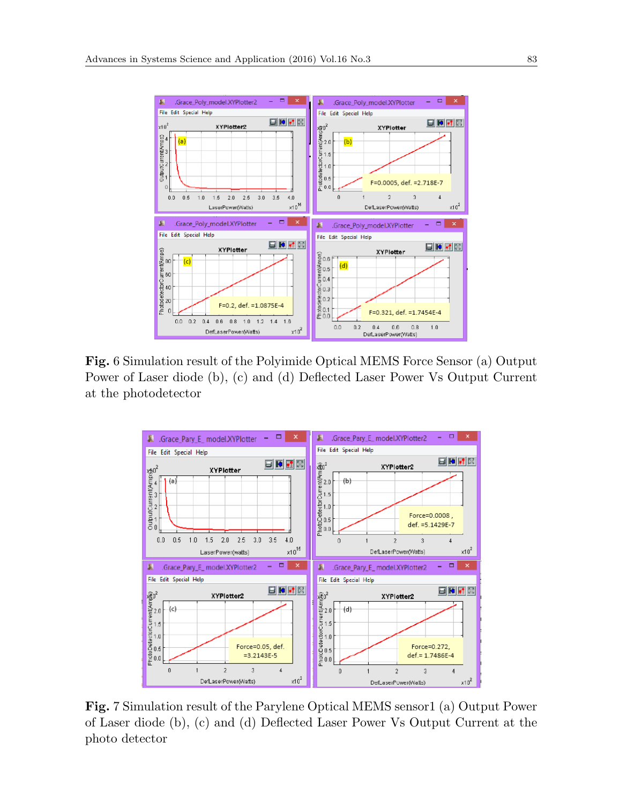

**Fig.** 6 Simulation result of the Polyimide Optical MEMS Force Sensor (a) Output Power of Laser diode (b), (c) and (d) Deflected Laser Power Vs Output Current at the photodetector



**Fig.** 7 Simulation result of the Parylene Optical MEMS sensor1 (a) Output Power of Laser diode (b), (c) and (d) Deflected Laser Power Vs Output Current at the photo detector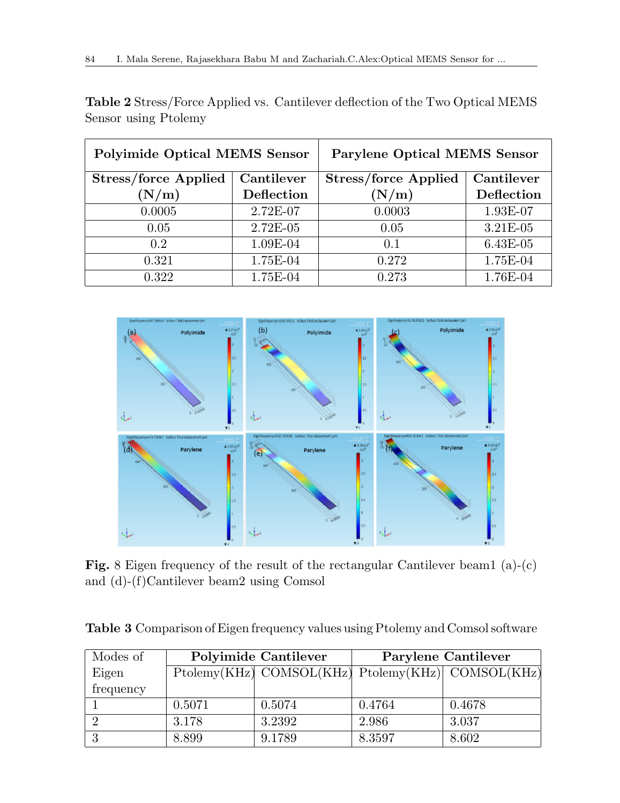| <b>Polyimide Optical MEMS Sensor</b> |            | <b>Parylene Optical MEMS Sensor</b> |            |  |  |
|--------------------------------------|------------|-------------------------------------|------------|--|--|
| Stress/force Applied                 | Cantilever | <b>Stress/force Applied</b>         | Cantilever |  |  |
| (N/m)                                | Deflection | (N/m)                               | Deflection |  |  |
| 0.0005                               | 2.72E-07   | 0.0003                              | 1.93E-07   |  |  |
| 0.05                                 | $2.72E-05$ | 0.05                                | 3.21E-05   |  |  |
| 0.2                                  | 1.09E-04   | 0.1                                 | 6.43E-05   |  |  |
| 0.321                                | 1.75E-04   | 0.272                               | 1.75E-04   |  |  |
| 0.322                                | 1.75E-04   | 0.273                               | 1.76E-04   |  |  |

**Table 2** Stress/Force Applied vs. Cantilever deflection of the Two Optical MEMS Sensor using Ptolemy



Fig. 8 Eigen frequency of the result of the rectangular Cantilever beam1 (a)-(c) and (d)-(f)Cantilever beam2 using Comsol

|  |  |  |  |  |  | Table 3 Comparison of Eigen frequency values using Ptolemy and Comsol software |
|--|--|--|--|--|--|--------------------------------------------------------------------------------|
|--|--|--|--|--|--|--------------------------------------------------------------------------------|

| Modes of  |        | <b>Polyimide Cantilever</b>                       | Parylene Cantilever |        |  |
|-----------|--------|---------------------------------------------------|---------------------|--------|--|
| Eigen     |        | Ptolemy(KHz) COMSOL(KHz) Ptolemy(KHz) COMSOL(KHz) |                     |        |  |
| frequency |        |                                                   |                     |        |  |
|           | 0.5071 | 0.5074                                            | 0.4764              | 0.4678 |  |
|           | 3.178  | 3.2392                                            | 2.986               | 3.037  |  |
|           | 8.899  | 9.1789                                            | 8.3597              | 8.602  |  |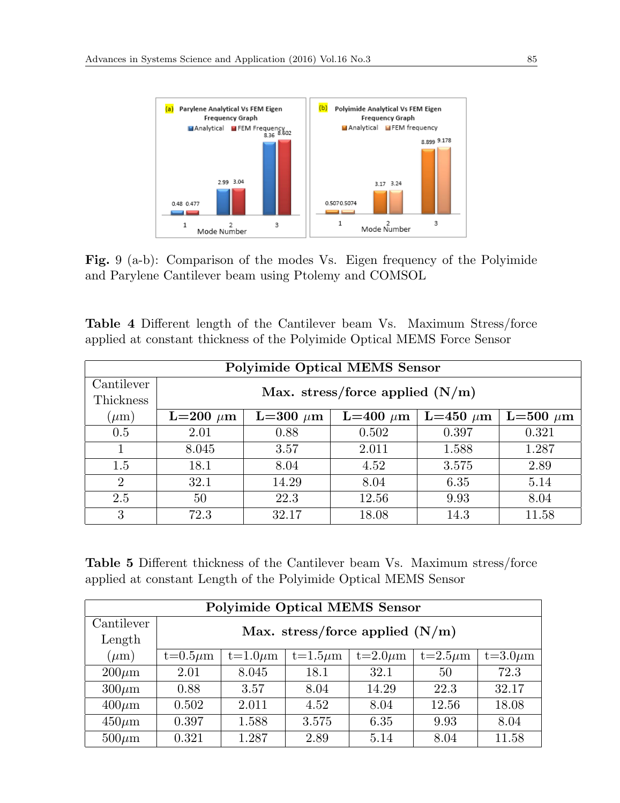

**Fig.** 9 (a-b): Comparison of the modes Vs. Eigen frequency of the Polyimide and Parylene Cantilever beam using Ptolemy and COMSOL

|  |  |  |  |                                                                          | <b>Table 4</b> Different length of the Cantilever beam Vs. Maximum Stress/force |
|--|--|--|--|--------------------------------------------------------------------------|---------------------------------------------------------------------------------|
|  |  |  |  | applied at constant thickness of the Polyimide Optical MEMS Force Sensor |                                                                                 |

| <b>Polyimide Optical MEMS Sensor</b> |                                   |                                                                  |       |       |       |  |  |  |  |  |  |
|--------------------------------------|-----------------------------------|------------------------------------------------------------------|-------|-------|-------|--|--|--|--|--|--|
| Cantilever                           |                                   |                                                                  |       |       |       |  |  |  |  |  |  |
| Thickness                            | Max. stress/force applied $(N/m)$ |                                                                  |       |       |       |  |  |  |  |  |  |
| $(\mu m)$                            | $L=200 \mu m$                     | $L=500 \mu m$<br>L=300 $\mu$ m<br>$L=400 \mu m$<br>L=450 $\mu$ m |       |       |       |  |  |  |  |  |  |
| 0.5                                  | 2.01                              | 0.88                                                             | 0.502 | 0.397 | 0.321 |  |  |  |  |  |  |
|                                      | 8.045                             | 3.57                                                             | 2.011 | 1.588 | 1.287 |  |  |  |  |  |  |
| 1.5                                  | 18.1                              | 8.04                                                             | 4.52  | 3.575 | 2.89  |  |  |  |  |  |  |
| $\mathcal{D}_{\mathcal{L}}$          | 32.1                              | 14.29                                                            | 8.04  | 6.35  | 5.14  |  |  |  |  |  |  |
| 2.5                                  | 50                                | 22.3                                                             | 12.56 | 9.93  | 8.04  |  |  |  |  |  |  |
| 3                                    | 72.3                              | 32.17                                                            | 18.08 | 14.3  | 11.58 |  |  |  |  |  |  |

**Table 5** Different thickness of the Cantilever beam Vs. Maximum stress/force applied at constant Length of the Polyimide Optical MEMS Sensor

| <b>Polyimide Optical MEMS Sensor</b> |               |                                                                                 |       |       |       |       |  |  |  |  |
|--------------------------------------|---------------|---------------------------------------------------------------------------------|-------|-------|-------|-------|--|--|--|--|
| Cantilever                           |               |                                                                                 |       |       |       |       |  |  |  |  |
| Length                               |               | Max. stress/force applied $(N/m)$                                               |       |       |       |       |  |  |  |  |
| $(\mu m)$                            | $t=0.5 \mu m$ | $t=3.0 \mu m$<br>$t=1.0 \mu m$<br>$t=1.5\mu m$<br>$t=2.5\mu m$<br>$t=2.0 \mu m$ |       |       |       |       |  |  |  |  |
| $200 \mu m$                          | 2.01          | 8.045                                                                           | 18.1  | 32.1  | 50    | 72.3  |  |  |  |  |
| $300 \mu m$                          | 0.88          | 3.57                                                                            | 8.04  | 14.29 | 22.3  | 32.17 |  |  |  |  |
| $400 \mu m$                          | 0.502         | 2.011                                                                           | 4.52  | 8.04  | 12.56 | 18.08 |  |  |  |  |
| $450 \mu m$                          | 0.397         | 1.588                                                                           | 3.575 | 6.35  | 9.93  | 8.04  |  |  |  |  |
| $500 \mu m$                          | 0.321         | 1.287                                                                           | 2.89  | 5.14  | 8.04  | 11.58 |  |  |  |  |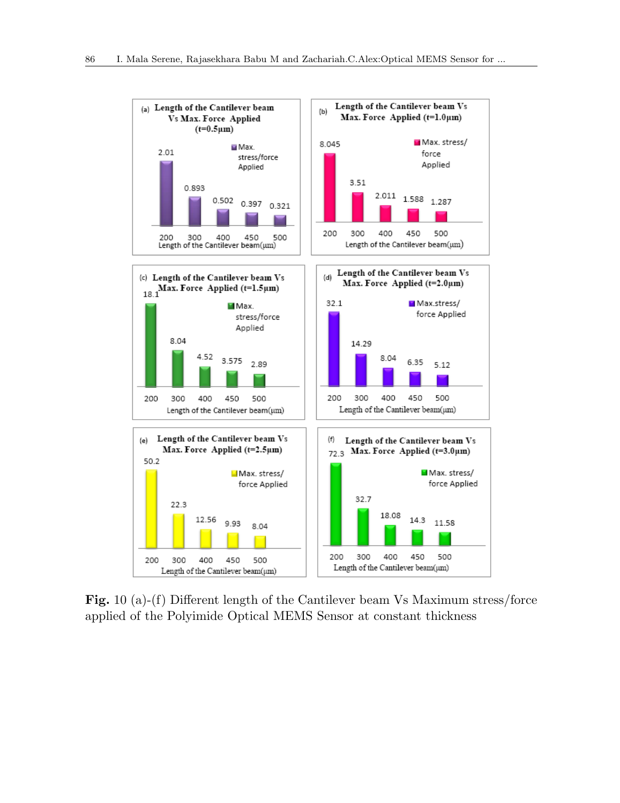

**Fig.** 10 (a)-(f) Different length of the Cantilever beam Vs Maximum stress/force applied of the Polyimide Optical MEMS Sensor at constant thickness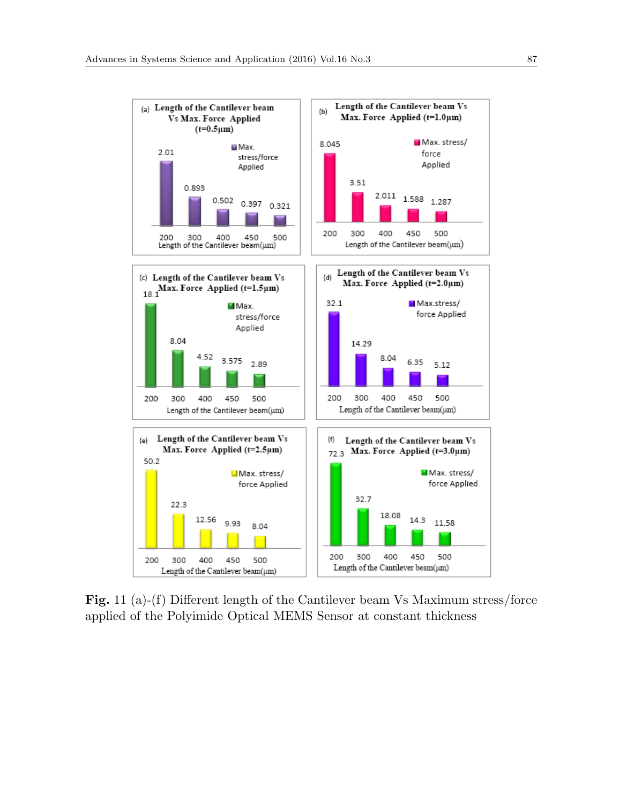

**Fig.** 11 (a)-(f) Different length of the Cantilever beam Vs Maximum stress/force applied of the Polyimide Optical MEMS Sensor at constant thickness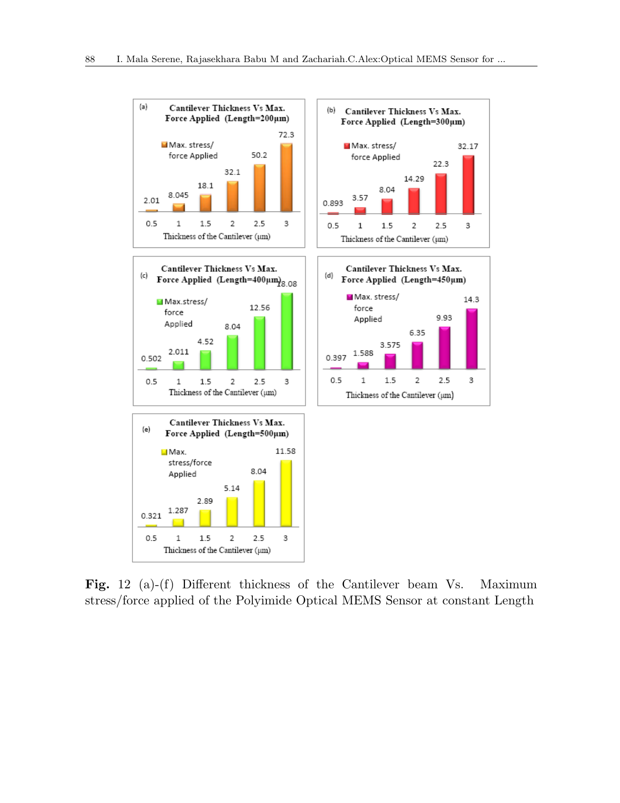

**Fig.** 12 (a)-(f) Different thickness of the Cantilever beam Vs. Maximum stress/force applied of the Polyimide Optical MEMS Sensor at constant Length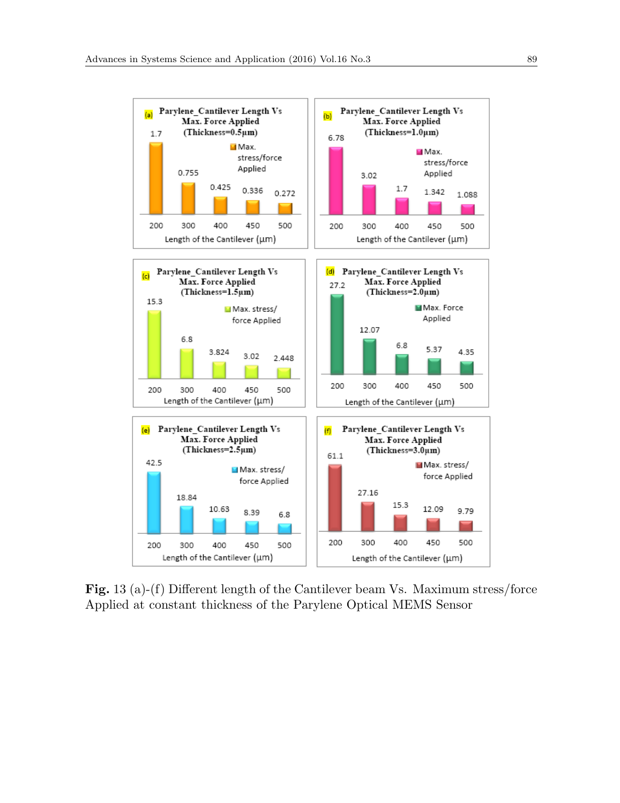

**Fig.** 13 (a)-(f) Different length of the Cantilever beam Vs. Maximum stress/force Applied at constant thickness of the Parylene Optical MEMS Sensor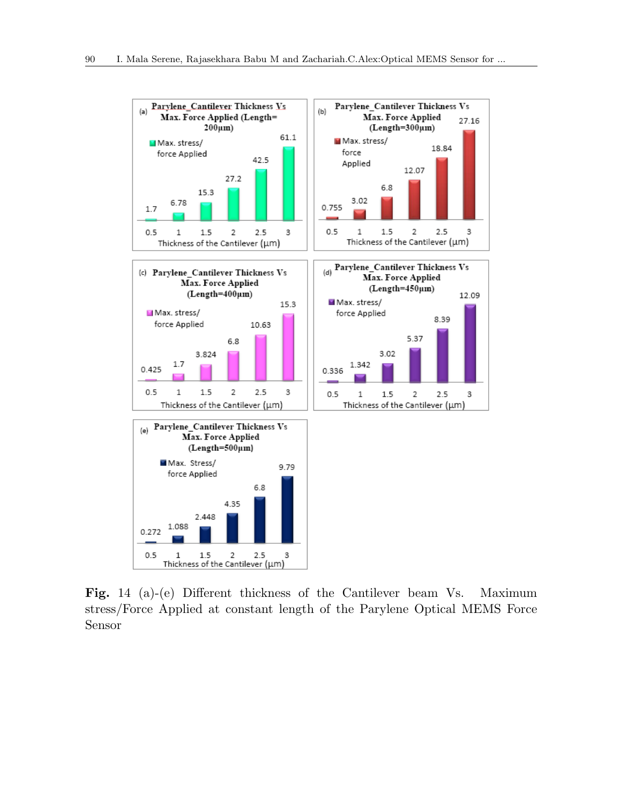

**Fig.** 14 (a)-(e) Different thickness of the Cantilever beam Vs. Maximum stress/Force Applied at constant length of the Parylene Optical MEMS Force Sensor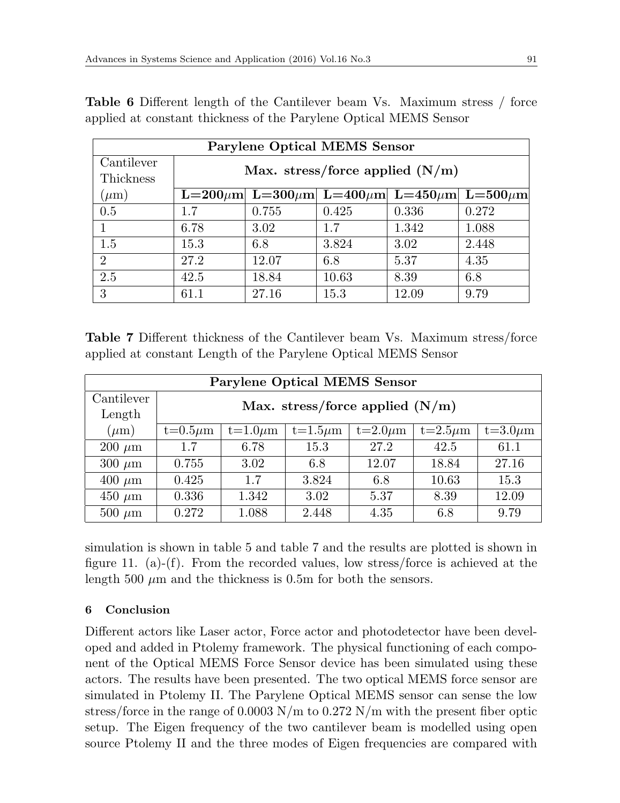| <b>Parylene Optical MEMS Sensor</b> |                                                                           |       |       |       |       |  |  |  |  |
|-------------------------------------|---------------------------------------------------------------------------|-------|-------|-------|-------|--|--|--|--|
| Cantilever                          |                                                                           |       |       |       |       |  |  |  |  |
| Thickness                           | Max. stress/force applied $(N/m)$                                         |       |       |       |       |  |  |  |  |
| $(\mu m)$                           | L=200 $\mu$ m  L=300 $\mu$ m  L=400 $\mu$ m  L=450 $\mu$ m  L=500 $\mu$ m |       |       |       |       |  |  |  |  |
| 0.5                                 | 1.7                                                                       | 0.755 | 0.425 | 0.336 | 0.272 |  |  |  |  |
|                                     | 6.78                                                                      | 3.02  | 1.7   | 1.342 | 1.088 |  |  |  |  |
| 1.5                                 | 15.3                                                                      | 6.8   | 3.824 | 3.02  | 2.448 |  |  |  |  |
| $\overline{2}$                      | 27.2                                                                      | 12.07 | 6.8   | 5.37  | 4.35  |  |  |  |  |
| 2.5                                 | 42.5<br>18.84<br>10.63<br>8.39<br>6.8                                     |       |       |       |       |  |  |  |  |
| 3                                   | 61.1                                                                      | 27.16 | 15.3  | 12.09 | 9.79  |  |  |  |  |

**Table 6** Different length of the Cantilever beam Vs. Maximum stress / force applied at constant thickness of the Parylene Optical MEMS Sensor

**Table 7** Different thickness of the Cantilever beam Vs. Maximum stress/force applied at constant Length of the Parylene Optical MEMS Sensor

| <b>Parylene Optical MEMS Sensor</b> |                                               |                                                                                 |       |       |       |       |  |  |  |  |
|-------------------------------------|-----------------------------------------------|---------------------------------------------------------------------------------|-------|-------|-------|-------|--|--|--|--|
| Cantilever                          |                                               |                                                                                 |       |       |       |       |  |  |  |  |
| Length                              |                                               | Max. stress/force applied $(N/m)$                                               |       |       |       |       |  |  |  |  |
| $(\mu m)$                           | $t=0.5\mu m$                                  | $t=3.0 \mu m$<br>$t=1.0 \mu m$<br>$t=1.5\mu m$<br>$t=2.0 \mu m$<br>$t=2.5\mu m$ |       |       |       |       |  |  |  |  |
| $200 \mu m$                         | 1.7                                           | 6.78                                                                            | 15.3  | 27.2  | 42.5  | 61.1  |  |  |  |  |
| $300 \ \mu m$                       | 0.755                                         | 3.02                                                                            | 6.8   | 12.07 | 18.84 | 27.16 |  |  |  |  |
| $400 \mu m$                         | 3.824<br>10.63<br>15.3<br>0.425<br>1.7<br>6.8 |                                                                                 |       |       |       |       |  |  |  |  |
| $450 \mu m$                         | 0.336                                         | 3.02<br>12.09<br>8.39<br>1.342<br>5.37                                          |       |       |       |       |  |  |  |  |
| $500 \ \mu m$                       | 0.272                                         | 1.088                                                                           | 2.448 | 4.35  | 6.8   | 9.79  |  |  |  |  |

simulation is shown in table 5 and table 7 and the results are plotted is shown in figure 11. (a)-(f). From the recorded values, low stress/force is achieved at the length 500 *µ*m and the thickness is 0.5m for both the sensors.

# **6 Conclusion**

Different actors like Laser actor, Force actor and photodetector have been developed and added in Ptolemy framework. The physical functioning of each component of the Optical MEMS Force Sensor device has been simulated using these actors. The results have been presented. The two optical MEMS force sensor are simulated in Ptolemy II. The Parylene Optical MEMS sensor can sense the low stress/force in the range of 0.0003 N/m to 0.272 N/m with the present fiber optic setup. The Eigen frequency of the two cantilever beam is modelled using open source Ptolemy II and the three modes of Eigen frequencies are compared with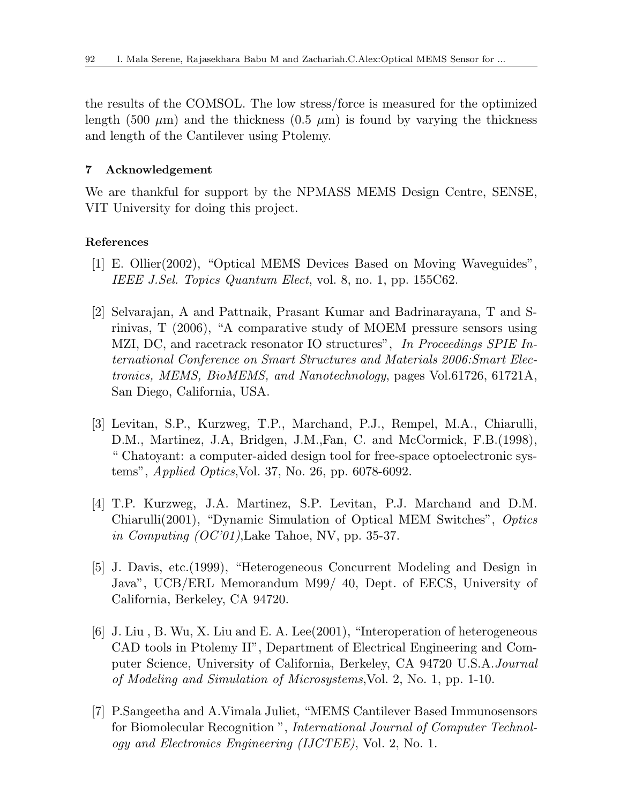the results of the COMSOL. The low stress/force is measured for the optimized length (500  $\mu$ m) and the thickness (0.5  $\mu$ m) is found by varying the thickness and length of the Cantilever using Ptolemy.

# **7 Acknowledgement**

We are thankful for support by the NPMASS MEMS Design Centre, SENSE, VIT University for doing this project.

### **References**

- [1] E. Ollier(2002), "Optical MEMS Devices Based on Moving Waveguides", *IEEE J.Sel. Topics Quantum Elect*, vol. 8, no. 1, pp. 155C62.
- [2] Selvarajan, A and Pattnaik, Prasant Kumar and Badrinarayana, T and Srinivas, T (2006), "A comparative study of MOEM pressure sensors using MZI, DC, and racetrack resonator IO structures", *In Proceedings SPIE International Conference on Smart Structures and Materials 2006:Smart Electronics, MEMS, BioMEMS, and Nanotechnology*, pages Vol.61726, 61721A, San Diego, California, USA.
- [3] Levitan, S.P., Kurzweg, T.P., Marchand, P.J., Rempel, M.A., Chiarulli, D.M., Martinez, J.A, Bridgen, J.M.,Fan, C. and McCormick, F.B.(1998), " Chatoyant: a computer-aided design tool for free-space optoelectronic systems", *Applied Optics*,Vol. 37, No. 26, pp. 6078-6092.
- [4] T.P. Kurzweg, J.A. Martinez, S.P. Levitan, P.J. Marchand and D.M. Chiarulli(2001), "Dynamic Simulation of Optical MEM Switches", *Optics in Computing (OC'01)*,Lake Tahoe, NV, pp. 35-37.
- [5] J. Davis, etc.(1999), "Heterogeneous Concurrent Modeling and Design in Java", UCB/ERL Memorandum M99/ 40, Dept. of EECS, University of California, Berkeley, CA 94720.
- [6] J. Liu , B. Wu, X. Liu and E. A. Lee(2001), "Interoperation of heterogeneous CAD tools in Ptolemy II", Department of Electrical Engineering and Computer Science, University of California, Berkeley, CA 94720 U.S.A.*Journal of Modeling and Simulation of Microsystems*,Vol. 2, No. 1, pp. 1-10.
- [7] P.Sangeetha and A.Vimala Juliet, "MEMS Cantilever Based Immunosensors for Biomolecular Recognition ", *International Journal of Computer Technology and Electronics Engineering (IJCTEE)*, Vol. 2, No. 1.